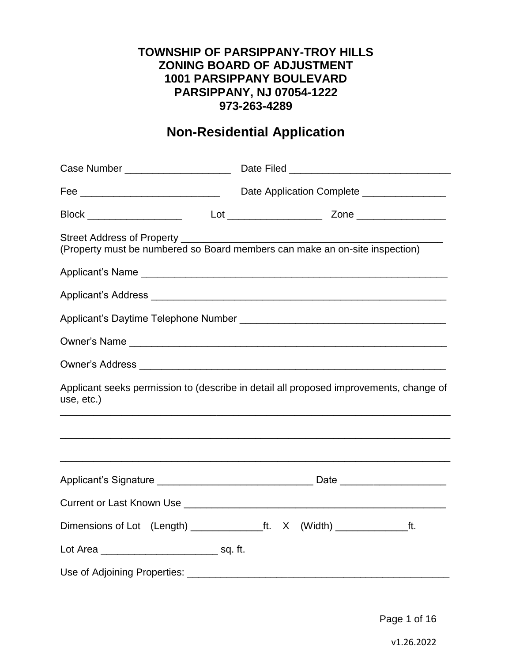### **TOWNSHIP OF PARSIPPANY-TROY HILLS ZONING BOARD OF ADJUSTMENT 1001 PARSIPPANY BOULEVARD PARSIPPANY, NJ 07054-1222 973-263-4289**

# **Non-Residential Application**

| Fee ________________________________                                                                 | Date Application Complete _______________ |  |  |
|------------------------------------------------------------------------------------------------------|-------------------------------------------|--|--|
|                                                                                                      |                                           |  |  |
| (Property must be numbered so Board members can make an on-site inspection)                          |                                           |  |  |
|                                                                                                      |                                           |  |  |
|                                                                                                      |                                           |  |  |
|                                                                                                      |                                           |  |  |
|                                                                                                      |                                           |  |  |
|                                                                                                      |                                           |  |  |
| Applicant seeks permission to (describe in detail all proposed improvements, change of<br>use, etc.) |                                           |  |  |
| <u> 1999 - Johann Stoff, amerikansk politiker (d. 1989)</u>                                          |                                           |  |  |
|                                                                                                      |                                           |  |  |
|                                                                                                      |                                           |  |  |
| Dimensions of Lot (Length) __________________ft. X (Width) __________________ft.                     |                                           |  |  |
| Lot Area ___________________________________ sq. ft.                                                 |                                           |  |  |
|                                                                                                      |                                           |  |  |

Page 1 of 16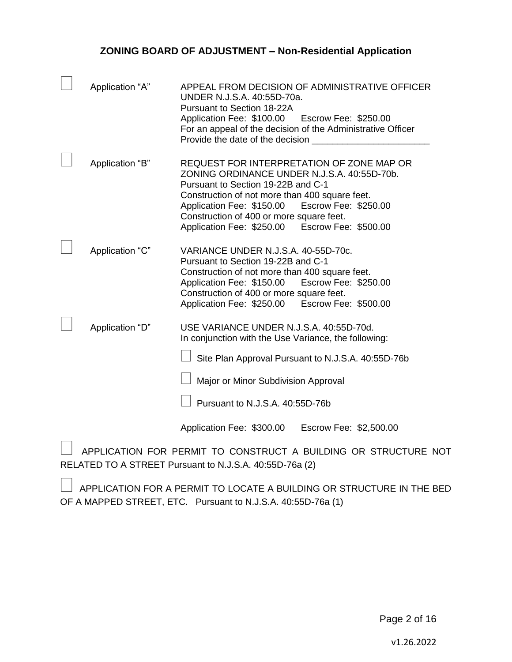| Application "A" | APPEAL FROM DECISION OF ADMINISTRATIVE OFFICER<br>UNDER N.J.S.A. 40:55D-70a.<br>Pursuant to Section 18-22A<br>Application Fee: \$100.00<br>Escrow Fee: \$250.00<br>For an appeal of the decision of the Administrative Officer<br>Provide the date of the decision                                                                  |
|-----------------|-------------------------------------------------------------------------------------------------------------------------------------------------------------------------------------------------------------------------------------------------------------------------------------------------------------------------------------|
| Application "B" | REQUEST FOR INTERPRETATION OF ZONE MAP OR<br>ZONING ORDINANCE UNDER N.J.S.A. 40:55D-70b.<br>Pursuant to Section 19-22B and C-1<br>Construction of not more than 400 square feet.<br>Escrow Fee: \$250.00<br>Application Fee: \$150.00<br>Construction of 400 or more square feet.<br>Application Fee: \$250.00 Escrow Fee: \$500.00 |
| Application "C" | VARIANCE UNDER N.J.S.A. 40-55D-70c.<br>Pursuant to Section 19-22B and C-1<br>Construction of not more than 400 square feet.<br>Escrow Fee: \$250.00<br>Application Fee: \$150.00<br>Construction of 400 or more square feet.<br>Application Fee: \$250.00 Escrow Fee: \$500.00                                                      |
| Application "D" | USE VARIANCE UNDER N.J.S.A. 40:55D-70d.<br>In conjunction with the Use Variance, the following:<br>Site Plan Approval Pursuant to N.J.S.A. 40:55D-76b<br>Major or Minor Subdivision Approval<br>Pursuant to N.J.S.A. 40:55D-76b<br>Application Fee: \$300.00<br>Escrow Fee: \$2,500.00                                              |

 $\Box$  APPLICATION FOR PERMIT TO CONSTRUCT A BUILDING OR STRUCTURE NOT RELATED TO A STREET Pursuant to N.J.S.A. 40:55D-76a (2)

 $\Box$  APPLICATION FOR A PERMIT TO LOCATE A BUILDING OR STRUCTURE IN THE BED OF A MAPPED STREET, ETC. Pursuant to N.J.S.A. 40:55D-76a (1)

Page 2 of 16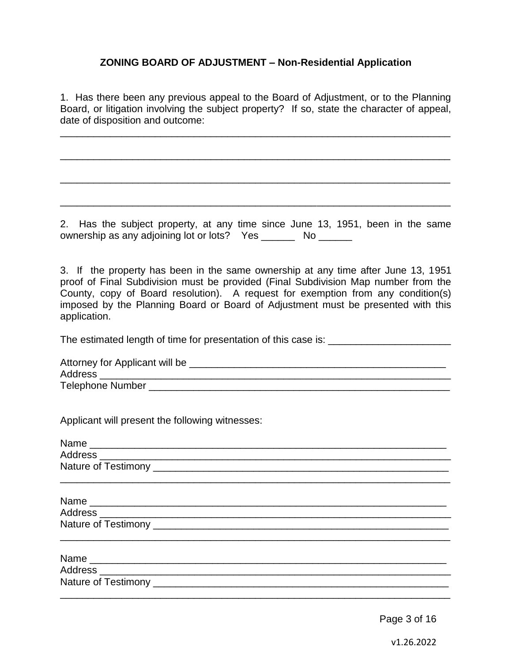1. Has there been any previous appeal to the Board of Adjustment, or to the Planning Board, or litigation involving the subject property? If so, state the character of appeal, date of disposition and outcome:

\_\_\_\_\_\_\_\_\_\_\_\_\_\_\_\_\_\_\_\_\_\_\_\_\_\_\_\_\_\_\_\_\_\_\_\_\_\_\_\_\_\_\_\_\_\_\_\_\_\_\_\_\_\_\_\_\_\_\_\_\_\_\_\_\_\_\_\_\_\_

\_\_\_\_\_\_\_\_\_\_\_\_\_\_\_\_\_\_\_\_\_\_\_\_\_\_\_\_\_\_\_\_\_\_\_\_\_\_\_\_\_\_\_\_\_\_\_\_\_\_\_\_\_\_\_\_\_\_\_\_\_\_\_\_\_\_\_\_\_\_

\_\_\_\_\_\_\_\_\_\_\_\_\_\_\_\_\_\_\_\_\_\_\_\_\_\_\_\_\_\_\_\_\_\_\_\_\_\_\_\_\_\_\_\_\_\_\_\_\_\_\_\_\_\_\_\_\_\_\_\_\_\_\_\_\_\_\_\_\_\_

\_\_\_\_\_\_\_\_\_\_\_\_\_\_\_\_\_\_\_\_\_\_\_\_\_\_\_\_\_\_\_\_\_\_\_\_\_\_\_\_\_\_\_\_\_\_\_\_\_\_\_\_\_\_\_\_\_\_\_\_\_\_\_\_\_\_\_\_\_\_

2. Has the subject property, at any time since June 13, 1951, been in the same ownership as any adjoining lot or lots? Yes \_\_\_\_\_\_\_ No \_\_\_\_\_\_

3. If the property has been in the same ownership at any time after June 13, 1951 proof of Final Subdivision must be provided (Final Subdivision Map number from the County, copy of Board resolution). A request for exemption from any condition(s) imposed by the Planning Board or Board of Adjustment must be presented with this application.

The estimated length of time for presentation of this case is: \_\_\_\_\_\_\_\_\_\_\_\_\_\_\_\_\_

| Attorney for Applicant will be |  |
|--------------------------------|--|
| Address                        |  |
| <b>Telephone Number</b>        |  |

Applicant will present the following witnesses:

Page 3 of 16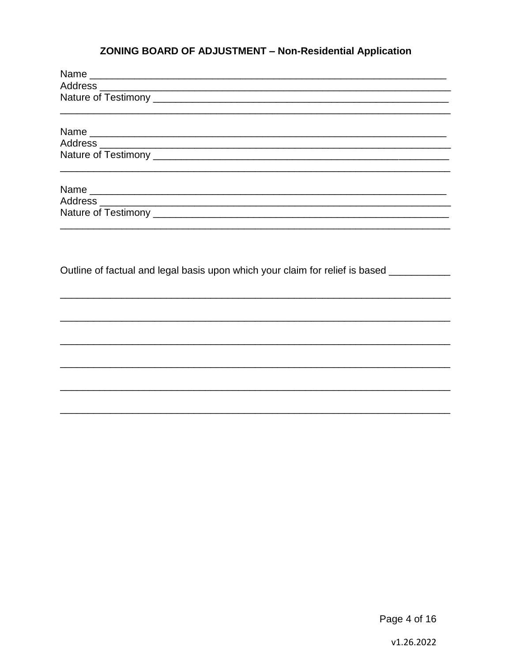| Outline of factual and legal basis upon which your claim for relief is based __________ |
|-----------------------------------------------------------------------------------------|
|                                                                                         |
|                                                                                         |
|                                                                                         |
|                                                                                         |
|                                                                                         |

Page 4 of 16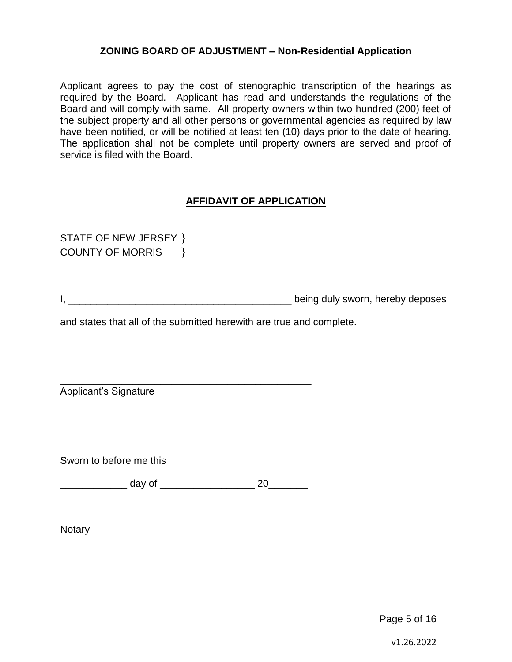Applicant agrees to pay the cost of stenographic transcription of the hearings as required by the Board. Applicant has read and understands the regulations of the Board and will comply with same. All property owners within two hundred (200) feet of the subject property and all other persons or governmental agencies as required by law have been notified, or will be notified at least ten (10) days prior to the date of hearing. The application shall not be complete until property owners are served and proof of service is filed with the Board.

#### **AFFIDAVIT OF APPLICATION**

STATE OF NEW JERSEY } COUNTY OF MORRIS \

I, **I**, **Example 20** is the contract of the contract of the being duly sworn, hereby deposes

and states that all of the submitted herewith are true and complete.

Applicant's Signature

Sworn to before me this

\_\_\_\_\_\_\_\_\_\_\_\_ day of \_\_\_\_\_\_\_\_\_\_\_\_\_\_\_\_\_ 20\_\_\_\_\_\_\_

\_\_\_\_\_\_\_\_\_\_\_\_\_\_\_\_\_\_\_\_\_\_\_\_\_\_\_\_\_\_\_\_\_\_\_\_\_\_\_\_\_\_\_\_\_

\_\_\_\_\_\_\_\_\_\_\_\_\_\_\_\_\_\_\_\_\_\_\_\_\_\_\_\_\_\_\_\_\_\_\_\_\_\_\_\_\_\_\_\_\_

Notary

Page 5 of 16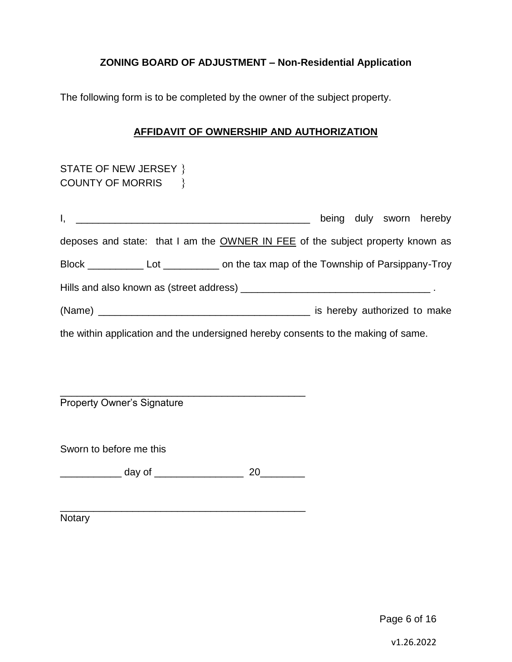The following form is to be completed by the owner of the subject property.

#### **AFFIDAVIT OF OWNERSHIP AND AUTHORIZATION**

| STATE OF NEW JERSEY }                                                                      |  |  |  |                         |
|--------------------------------------------------------------------------------------------|--|--|--|-------------------------|
| COUNTY OF MORRIS \}                                                                        |  |  |  |                         |
|                                                                                            |  |  |  |                         |
|                                                                                            |  |  |  | being duly sworn hereby |
| deposes and state: that I am the OWNER IN FEE of the subject property known as             |  |  |  |                         |
| Block _______________ Lot ______________ on the tax map of the Township of Parsippany-Troy |  |  |  |                         |
|                                                                                            |  |  |  |                         |
|                                                                                            |  |  |  |                         |
| the within application and the undersigned hereby consents to the making of same.          |  |  |  |                         |

\_\_\_\_\_\_\_\_\_\_\_\_\_\_\_\_\_\_\_\_\_\_\_\_\_\_\_\_\_\_\_\_\_\_\_\_\_\_\_\_\_\_\_\_ Property Owner's Signature

Sworn to before me this

\_\_\_\_\_\_\_\_\_\_\_ day of \_\_\_\_\_\_\_\_\_\_\_\_\_\_\_\_ 20\_\_\_\_\_\_\_\_

\_\_\_\_\_\_\_\_\_\_\_\_\_\_\_\_\_\_\_\_\_\_\_\_\_\_\_\_\_\_\_\_\_\_\_\_\_\_\_\_\_\_\_\_

Notary

Page 6 of 16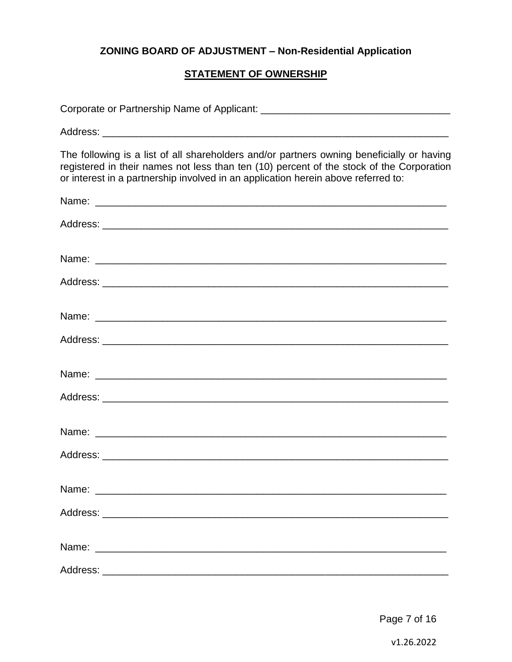#### **STATEMENT OF OWNERSHIP**

| The following is a list of all shareholders and/or partners owning beneficially or having<br>registered in their names not less than ten (10) percent of the stock of the Corporation<br>or interest in a partnership involved in an application herein above referred to: |
|----------------------------------------------------------------------------------------------------------------------------------------------------------------------------------------------------------------------------------------------------------------------------|
|                                                                                                                                                                                                                                                                            |
|                                                                                                                                                                                                                                                                            |
|                                                                                                                                                                                                                                                                            |
|                                                                                                                                                                                                                                                                            |
|                                                                                                                                                                                                                                                                            |
|                                                                                                                                                                                                                                                                            |
|                                                                                                                                                                                                                                                                            |
|                                                                                                                                                                                                                                                                            |
|                                                                                                                                                                                                                                                                            |
|                                                                                                                                                                                                                                                                            |
|                                                                                                                                                                                                                                                                            |
|                                                                                                                                                                                                                                                                            |
|                                                                                                                                                                                                                                                                            |
|                                                                                                                                                                                                                                                                            |

Page 7 of 16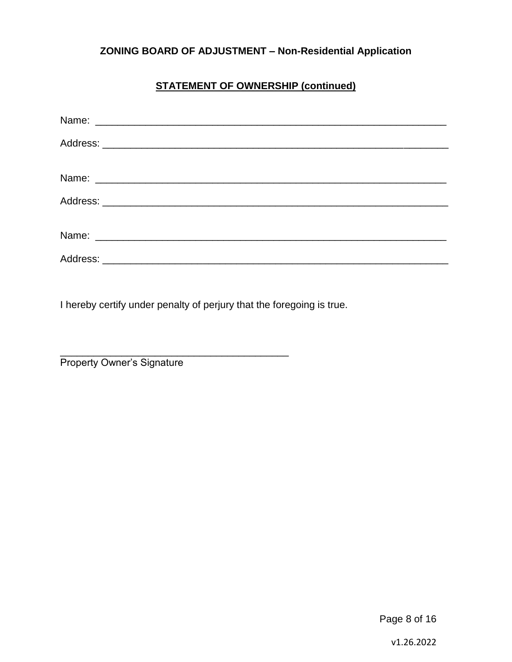## **STATEMENT OF OWNERSHIP (continued)**

I hereby certify under penalty of perjury that the foregoing is true.

\_\_\_\_\_\_\_\_\_\_\_\_\_\_\_\_\_\_\_\_\_\_\_\_\_\_\_\_\_\_\_\_\_\_\_\_\_\_\_\_\_

**Property Owner's Signature** 

Page 8 of 16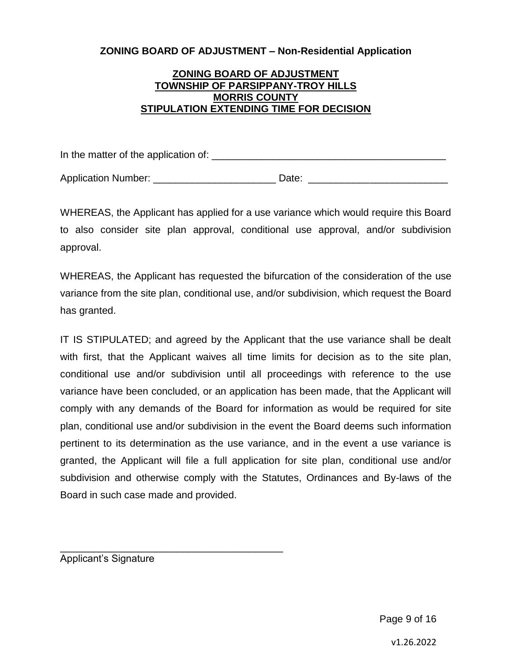#### **ZONING BOARD OF ADJUSTMENT TOWNSHIP OF PARSIPPANY-TROY HILLS MORRIS COUNTY STIPULATION EXTENDING TIME FOR DECISION**

In the matter of the application of: \_\_\_\_\_\_\_\_\_\_\_\_\_\_\_\_\_\_\_\_\_\_\_\_\_\_\_\_\_\_\_\_\_\_\_\_\_\_\_\_\_\_

Application Number: <br>
and the Date: Date:  $\Box$  Date:  $\Box$  Date:  $\Box$ 

WHEREAS, the Applicant has applied for a use variance which would require this Board to also consider site plan approval, conditional use approval, and/or subdivision approval.

WHEREAS, the Applicant has requested the bifurcation of the consideration of the use variance from the site plan, conditional use, and/or subdivision, which request the Board has granted.

IT IS STIPULATED; and agreed by the Applicant that the use variance shall be dealt with first, that the Applicant waives all time limits for decision as to the site plan, conditional use and/or subdivision until all proceedings with reference to the use variance have been concluded, or an application has been made, that the Applicant will comply with any demands of the Board for information as would be required for site plan, conditional use and/or subdivision in the event the Board deems such information pertinent to its determination as the use variance, and in the event a use variance is granted, the Applicant will file a full application for site plan, conditional use and/or subdivision and otherwise comply with the Statutes, Ordinances and By-laws of the Board in such case made and provided.

Applicant's Signature

\_\_\_\_\_\_\_\_\_\_\_\_\_\_\_\_\_\_\_\_\_\_\_\_\_\_\_\_\_\_\_\_\_\_\_\_\_\_\_\_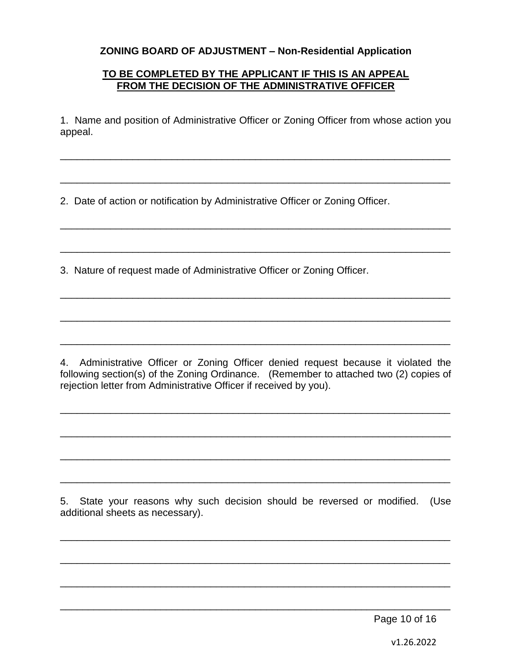#### **TO BE COMPLETED BY THE APPLICANT IF THIS IS AN APPEAL FROM THE DECISION OF THE ADMINISTRATIVE OFFICER**

1. Name and position of Administrative Officer or Zoning Officer from whose action you appeal.

\_\_\_\_\_\_\_\_\_\_\_\_\_\_\_\_\_\_\_\_\_\_\_\_\_\_\_\_\_\_\_\_\_\_\_\_\_\_\_\_\_\_\_\_\_\_\_\_\_\_\_\_\_\_\_\_\_\_\_\_\_\_\_\_\_\_\_\_\_\_

\_\_\_\_\_\_\_\_\_\_\_\_\_\_\_\_\_\_\_\_\_\_\_\_\_\_\_\_\_\_\_\_\_\_\_\_\_\_\_\_\_\_\_\_\_\_\_\_\_\_\_\_\_\_\_\_\_\_\_\_\_\_\_\_\_\_\_\_\_\_

\_\_\_\_\_\_\_\_\_\_\_\_\_\_\_\_\_\_\_\_\_\_\_\_\_\_\_\_\_\_\_\_\_\_\_\_\_\_\_\_\_\_\_\_\_\_\_\_\_\_\_\_\_\_\_\_\_\_\_\_\_\_\_\_\_\_\_\_\_\_

\_\_\_\_\_\_\_\_\_\_\_\_\_\_\_\_\_\_\_\_\_\_\_\_\_\_\_\_\_\_\_\_\_\_\_\_\_\_\_\_\_\_\_\_\_\_\_\_\_\_\_\_\_\_\_\_\_\_\_\_\_\_\_\_\_\_\_\_\_\_

\_\_\_\_\_\_\_\_\_\_\_\_\_\_\_\_\_\_\_\_\_\_\_\_\_\_\_\_\_\_\_\_\_\_\_\_\_\_\_\_\_\_\_\_\_\_\_\_\_\_\_\_\_\_\_\_\_\_\_\_\_\_\_\_\_\_\_\_\_\_

\_\_\_\_\_\_\_\_\_\_\_\_\_\_\_\_\_\_\_\_\_\_\_\_\_\_\_\_\_\_\_\_\_\_\_\_\_\_\_\_\_\_\_\_\_\_\_\_\_\_\_\_\_\_\_\_\_\_\_\_\_\_\_\_\_\_\_\_\_\_

\_\_\_\_\_\_\_\_\_\_\_\_\_\_\_\_\_\_\_\_\_\_\_\_\_\_\_\_\_\_\_\_\_\_\_\_\_\_\_\_\_\_\_\_\_\_\_\_\_\_\_\_\_\_\_\_\_\_\_\_\_\_\_\_\_\_\_\_\_\_

2. Date of action or notification by Administrative Officer or Zoning Officer.

3. Nature of request made of Administrative Officer or Zoning Officer.

4. Administrative Officer or Zoning Officer denied request because it violated the following section(s) of the Zoning Ordinance. (Remember to attached two (2) copies of rejection letter from Administrative Officer if received by you).

\_\_\_\_\_\_\_\_\_\_\_\_\_\_\_\_\_\_\_\_\_\_\_\_\_\_\_\_\_\_\_\_\_\_\_\_\_\_\_\_\_\_\_\_\_\_\_\_\_\_\_\_\_\_\_\_\_\_\_\_\_\_\_\_\_\_\_\_\_\_

\_\_\_\_\_\_\_\_\_\_\_\_\_\_\_\_\_\_\_\_\_\_\_\_\_\_\_\_\_\_\_\_\_\_\_\_\_\_\_\_\_\_\_\_\_\_\_\_\_\_\_\_\_\_\_\_\_\_\_\_\_\_\_\_\_\_\_\_\_\_

\_\_\_\_\_\_\_\_\_\_\_\_\_\_\_\_\_\_\_\_\_\_\_\_\_\_\_\_\_\_\_\_\_\_\_\_\_\_\_\_\_\_\_\_\_\_\_\_\_\_\_\_\_\_\_\_\_\_\_\_\_\_\_\_\_\_\_\_\_\_

\_\_\_\_\_\_\_\_\_\_\_\_\_\_\_\_\_\_\_\_\_\_\_\_\_\_\_\_\_\_\_\_\_\_\_\_\_\_\_\_\_\_\_\_\_\_\_\_\_\_\_\_\_\_\_\_\_\_\_\_\_\_\_\_\_\_\_\_\_\_

5. State your reasons why such decision should be reversed or modified. (Use additional sheets as necessary).

\_\_\_\_\_\_\_\_\_\_\_\_\_\_\_\_\_\_\_\_\_\_\_\_\_\_\_\_\_\_\_\_\_\_\_\_\_\_\_\_\_\_\_\_\_\_\_\_\_\_\_\_\_\_\_\_\_\_\_\_\_\_\_\_\_\_\_\_\_\_

\_\_\_\_\_\_\_\_\_\_\_\_\_\_\_\_\_\_\_\_\_\_\_\_\_\_\_\_\_\_\_\_\_\_\_\_\_\_\_\_\_\_\_\_\_\_\_\_\_\_\_\_\_\_\_\_\_\_\_\_\_\_\_\_\_\_\_\_\_\_

\_\_\_\_\_\_\_\_\_\_\_\_\_\_\_\_\_\_\_\_\_\_\_\_\_\_\_\_\_\_\_\_\_\_\_\_\_\_\_\_\_\_\_\_\_\_\_\_\_\_\_\_\_\_\_\_\_\_\_\_\_\_\_\_\_\_\_\_\_\_

\_\_\_\_\_\_\_\_\_\_\_\_\_\_\_\_\_\_\_\_\_\_\_\_\_\_\_\_\_\_\_\_\_\_\_\_\_\_\_\_\_\_\_\_\_\_\_\_\_\_\_\_\_\_\_\_\_\_\_\_\_\_\_\_\_\_\_\_\_\_

Page 10 of 16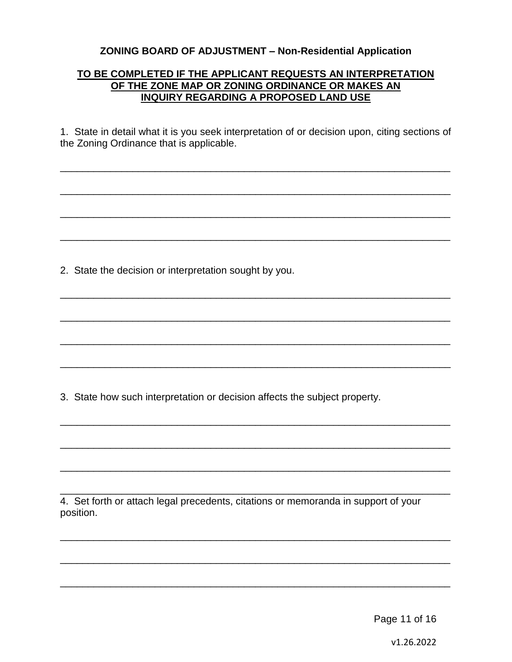#### **TO BE COMPLETED IF THE APPLICANT REQUESTS AN INTERPRETATION OF THE ZONE MAP OR ZONING ORDINANCE OR MAKES AN INQUIRY REGARDING A PROPOSED LAND USE**

1. State in detail what it is you seek interpretation of or decision upon, citing sections of the Zoning Ordinance that is applicable.

\_\_\_\_\_\_\_\_\_\_\_\_\_\_\_\_\_\_\_\_\_\_\_\_\_\_\_\_\_\_\_\_\_\_\_\_\_\_\_\_\_\_\_\_\_\_\_\_\_\_\_\_\_\_\_\_\_\_\_\_\_\_\_\_\_\_\_\_\_\_

\_\_\_\_\_\_\_\_\_\_\_\_\_\_\_\_\_\_\_\_\_\_\_\_\_\_\_\_\_\_\_\_\_\_\_\_\_\_\_\_\_\_\_\_\_\_\_\_\_\_\_\_\_\_\_\_\_\_\_\_\_\_\_\_\_\_\_\_\_\_

\_\_\_\_\_\_\_\_\_\_\_\_\_\_\_\_\_\_\_\_\_\_\_\_\_\_\_\_\_\_\_\_\_\_\_\_\_\_\_\_\_\_\_\_\_\_\_\_\_\_\_\_\_\_\_\_\_\_\_\_\_\_\_\_\_\_\_\_\_\_

\_\_\_\_\_\_\_\_\_\_\_\_\_\_\_\_\_\_\_\_\_\_\_\_\_\_\_\_\_\_\_\_\_\_\_\_\_\_\_\_\_\_\_\_\_\_\_\_\_\_\_\_\_\_\_\_\_\_\_\_\_\_\_\_\_\_\_\_\_\_

\_\_\_\_\_\_\_\_\_\_\_\_\_\_\_\_\_\_\_\_\_\_\_\_\_\_\_\_\_\_\_\_\_\_\_\_\_\_\_\_\_\_\_\_\_\_\_\_\_\_\_\_\_\_\_\_\_\_\_\_\_\_\_\_\_\_\_\_\_\_

\_\_\_\_\_\_\_\_\_\_\_\_\_\_\_\_\_\_\_\_\_\_\_\_\_\_\_\_\_\_\_\_\_\_\_\_\_\_\_\_\_\_\_\_\_\_\_\_\_\_\_\_\_\_\_\_\_\_\_\_\_\_\_\_\_\_\_\_\_\_

\_\_\_\_\_\_\_\_\_\_\_\_\_\_\_\_\_\_\_\_\_\_\_\_\_\_\_\_\_\_\_\_\_\_\_\_\_\_\_\_\_\_\_\_\_\_\_\_\_\_\_\_\_\_\_\_\_\_\_\_\_\_\_\_\_\_\_\_\_\_

\_\_\_\_\_\_\_\_\_\_\_\_\_\_\_\_\_\_\_\_\_\_\_\_\_\_\_\_\_\_\_\_\_\_\_\_\_\_\_\_\_\_\_\_\_\_\_\_\_\_\_\_\_\_\_\_\_\_\_\_\_\_\_\_\_\_\_\_\_\_

\_\_\_\_\_\_\_\_\_\_\_\_\_\_\_\_\_\_\_\_\_\_\_\_\_\_\_\_\_\_\_\_\_\_\_\_\_\_\_\_\_\_\_\_\_\_\_\_\_\_\_\_\_\_\_\_\_\_\_\_\_\_\_\_\_\_\_\_\_\_

\_\_\_\_\_\_\_\_\_\_\_\_\_\_\_\_\_\_\_\_\_\_\_\_\_\_\_\_\_\_\_\_\_\_\_\_\_\_\_\_\_\_\_\_\_\_\_\_\_\_\_\_\_\_\_\_\_\_\_\_\_\_\_\_\_\_\_\_\_\_

\_\_\_\_\_\_\_\_\_\_\_\_\_\_\_\_\_\_\_\_\_\_\_\_\_\_\_\_\_\_\_\_\_\_\_\_\_\_\_\_\_\_\_\_\_\_\_\_\_\_\_\_\_\_\_\_\_\_\_\_\_\_\_\_\_\_\_\_\_\_

\_\_\_\_\_\_\_\_\_\_\_\_\_\_\_\_\_\_\_\_\_\_\_\_\_\_\_\_\_\_\_\_\_\_\_\_\_\_\_\_\_\_\_\_\_\_\_\_\_\_\_\_\_\_\_\_\_\_\_\_\_\_\_\_\_\_\_\_\_\_

\_\_\_\_\_\_\_\_\_\_\_\_\_\_\_\_\_\_\_\_\_\_\_\_\_\_\_\_\_\_\_\_\_\_\_\_\_\_\_\_\_\_\_\_\_\_\_\_\_\_\_\_\_\_\_\_\_\_\_\_\_\_\_\_\_\_\_\_\_\_

\_\_\_\_\_\_\_\_\_\_\_\_\_\_\_\_\_\_\_\_\_\_\_\_\_\_\_\_\_\_\_\_\_\_\_\_\_\_\_\_\_\_\_\_\_\_\_\_\_\_\_\_\_\_\_\_\_\_\_\_\_\_\_\_\_\_\_\_\_\_

\_\_\_\_\_\_\_\_\_\_\_\_\_\_\_\_\_\_\_\_\_\_\_\_\_\_\_\_\_\_\_\_\_\_\_\_\_\_\_\_\_\_\_\_\_\_\_\_\_\_\_\_\_\_\_\_\_\_\_\_\_\_\_\_\_\_\_\_\_\_

2. State the decision or interpretation sought by you.

3. State how such interpretation or decision affects the subject property.

4. Set forth or attach legal precedents, citations or memoranda in support of your position.

Page 11 of 16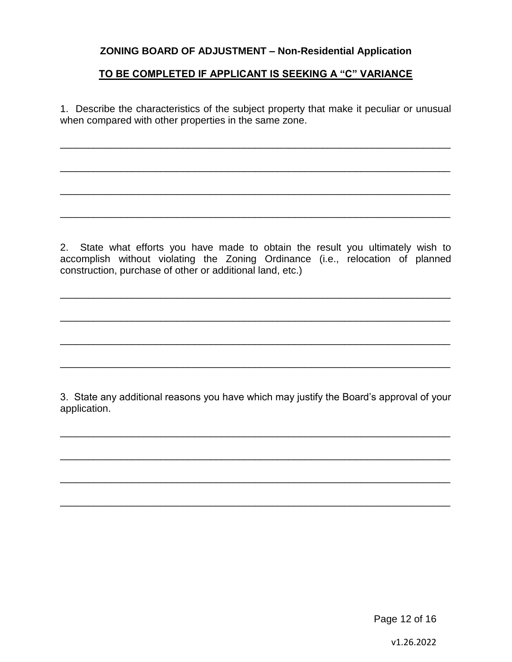#### **TO BE COMPLETED IF APPLICANT IS SEEKING A "C" VARIANCE**

1. Describe the characteristics of the subject property that make it peculiar or unusual when compared with other properties in the same zone.

\_\_\_\_\_\_\_\_\_\_\_\_\_\_\_\_\_\_\_\_\_\_\_\_\_\_\_\_\_\_\_\_\_\_\_\_\_\_\_\_\_\_\_\_\_\_\_\_\_\_\_\_\_\_\_\_\_\_\_\_\_\_\_\_\_\_\_\_\_\_

\_\_\_\_\_\_\_\_\_\_\_\_\_\_\_\_\_\_\_\_\_\_\_\_\_\_\_\_\_\_\_\_\_\_\_\_\_\_\_\_\_\_\_\_\_\_\_\_\_\_\_\_\_\_\_\_\_\_\_\_\_\_\_\_\_\_\_\_\_\_

\_\_\_\_\_\_\_\_\_\_\_\_\_\_\_\_\_\_\_\_\_\_\_\_\_\_\_\_\_\_\_\_\_\_\_\_\_\_\_\_\_\_\_\_\_\_\_\_\_\_\_\_\_\_\_\_\_\_\_\_\_\_\_\_\_\_\_\_\_\_

\_\_\_\_\_\_\_\_\_\_\_\_\_\_\_\_\_\_\_\_\_\_\_\_\_\_\_\_\_\_\_\_\_\_\_\_\_\_\_\_\_\_\_\_\_\_\_\_\_\_\_\_\_\_\_\_\_\_\_\_\_\_\_\_\_\_\_\_\_\_

2. State what efforts you have made to obtain the result you ultimately wish to accomplish without violating the Zoning Ordinance (i.e., relocation of planned construction, purchase of other or additional land, etc.)

\_\_\_\_\_\_\_\_\_\_\_\_\_\_\_\_\_\_\_\_\_\_\_\_\_\_\_\_\_\_\_\_\_\_\_\_\_\_\_\_\_\_\_\_\_\_\_\_\_\_\_\_\_\_\_\_\_\_\_\_\_\_\_\_\_\_\_\_\_\_

\_\_\_\_\_\_\_\_\_\_\_\_\_\_\_\_\_\_\_\_\_\_\_\_\_\_\_\_\_\_\_\_\_\_\_\_\_\_\_\_\_\_\_\_\_\_\_\_\_\_\_\_\_\_\_\_\_\_\_\_\_\_\_\_\_\_\_\_\_\_

\_\_\_\_\_\_\_\_\_\_\_\_\_\_\_\_\_\_\_\_\_\_\_\_\_\_\_\_\_\_\_\_\_\_\_\_\_\_\_\_\_\_\_\_\_\_\_\_\_\_\_\_\_\_\_\_\_\_\_\_\_\_\_\_\_\_\_\_\_\_

\_\_\_\_\_\_\_\_\_\_\_\_\_\_\_\_\_\_\_\_\_\_\_\_\_\_\_\_\_\_\_\_\_\_\_\_\_\_\_\_\_\_\_\_\_\_\_\_\_\_\_\_\_\_\_\_\_\_\_\_\_\_\_\_\_\_\_\_\_\_

3. State any additional reasons you have which may justify the Board's approval of your application.

\_\_\_\_\_\_\_\_\_\_\_\_\_\_\_\_\_\_\_\_\_\_\_\_\_\_\_\_\_\_\_\_\_\_\_\_\_\_\_\_\_\_\_\_\_\_\_\_\_\_\_\_\_\_\_\_\_\_\_\_\_\_\_\_\_\_\_\_\_\_

\_\_\_\_\_\_\_\_\_\_\_\_\_\_\_\_\_\_\_\_\_\_\_\_\_\_\_\_\_\_\_\_\_\_\_\_\_\_\_\_\_\_\_\_\_\_\_\_\_\_\_\_\_\_\_\_\_\_\_\_\_\_\_\_\_\_\_\_\_\_

\_\_\_\_\_\_\_\_\_\_\_\_\_\_\_\_\_\_\_\_\_\_\_\_\_\_\_\_\_\_\_\_\_\_\_\_\_\_\_\_\_\_\_\_\_\_\_\_\_\_\_\_\_\_\_\_\_\_\_\_\_\_\_\_\_\_\_\_\_\_

\_\_\_\_\_\_\_\_\_\_\_\_\_\_\_\_\_\_\_\_\_\_\_\_\_\_\_\_\_\_\_\_\_\_\_\_\_\_\_\_\_\_\_\_\_\_\_\_\_\_\_\_\_\_\_\_\_\_\_\_\_\_\_\_\_\_\_\_\_\_

Page 12 of 16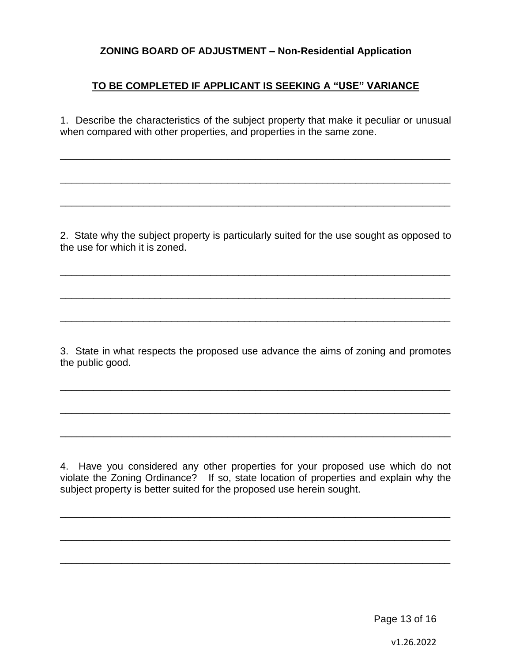#### **TO BE COMPLETED IF APPLICANT IS SEEKING A "USE" VARIANCE**

1. Describe the characteristics of the subject property that make it peculiar or unusual when compared with other properties, and properties in the same zone.

\_\_\_\_\_\_\_\_\_\_\_\_\_\_\_\_\_\_\_\_\_\_\_\_\_\_\_\_\_\_\_\_\_\_\_\_\_\_\_\_\_\_\_\_\_\_\_\_\_\_\_\_\_\_\_\_\_\_\_\_\_\_\_\_\_\_\_\_\_\_

\_\_\_\_\_\_\_\_\_\_\_\_\_\_\_\_\_\_\_\_\_\_\_\_\_\_\_\_\_\_\_\_\_\_\_\_\_\_\_\_\_\_\_\_\_\_\_\_\_\_\_\_\_\_\_\_\_\_\_\_\_\_\_\_\_\_\_\_\_\_

\_\_\_\_\_\_\_\_\_\_\_\_\_\_\_\_\_\_\_\_\_\_\_\_\_\_\_\_\_\_\_\_\_\_\_\_\_\_\_\_\_\_\_\_\_\_\_\_\_\_\_\_\_\_\_\_\_\_\_\_\_\_\_\_\_\_\_\_\_\_

2. State why the subject property is particularly suited for the use sought as opposed to the use for which it is zoned.

\_\_\_\_\_\_\_\_\_\_\_\_\_\_\_\_\_\_\_\_\_\_\_\_\_\_\_\_\_\_\_\_\_\_\_\_\_\_\_\_\_\_\_\_\_\_\_\_\_\_\_\_\_\_\_\_\_\_\_\_\_\_\_\_\_\_\_\_\_\_

\_\_\_\_\_\_\_\_\_\_\_\_\_\_\_\_\_\_\_\_\_\_\_\_\_\_\_\_\_\_\_\_\_\_\_\_\_\_\_\_\_\_\_\_\_\_\_\_\_\_\_\_\_\_\_\_\_\_\_\_\_\_\_\_\_\_\_\_\_\_

\_\_\_\_\_\_\_\_\_\_\_\_\_\_\_\_\_\_\_\_\_\_\_\_\_\_\_\_\_\_\_\_\_\_\_\_\_\_\_\_\_\_\_\_\_\_\_\_\_\_\_\_\_\_\_\_\_\_\_\_\_\_\_\_\_\_\_\_\_\_

3. State in what respects the proposed use advance the aims of zoning and promotes the public good.

\_\_\_\_\_\_\_\_\_\_\_\_\_\_\_\_\_\_\_\_\_\_\_\_\_\_\_\_\_\_\_\_\_\_\_\_\_\_\_\_\_\_\_\_\_\_\_\_\_\_\_\_\_\_\_\_\_\_\_\_\_\_\_\_\_\_\_\_\_\_

\_\_\_\_\_\_\_\_\_\_\_\_\_\_\_\_\_\_\_\_\_\_\_\_\_\_\_\_\_\_\_\_\_\_\_\_\_\_\_\_\_\_\_\_\_\_\_\_\_\_\_\_\_\_\_\_\_\_\_\_\_\_\_\_\_\_\_\_\_\_

\_\_\_\_\_\_\_\_\_\_\_\_\_\_\_\_\_\_\_\_\_\_\_\_\_\_\_\_\_\_\_\_\_\_\_\_\_\_\_\_\_\_\_\_\_\_\_\_\_\_\_\_\_\_\_\_\_\_\_\_\_\_\_\_\_\_\_\_\_\_

4. Have you considered any other properties for your proposed use which do not violate the Zoning Ordinance? If so, state location of properties and explain why the subject property is better suited for the proposed use herein sought.

\_\_\_\_\_\_\_\_\_\_\_\_\_\_\_\_\_\_\_\_\_\_\_\_\_\_\_\_\_\_\_\_\_\_\_\_\_\_\_\_\_\_\_\_\_\_\_\_\_\_\_\_\_\_\_\_\_\_\_\_\_\_\_\_\_\_\_\_\_\_

\_\_\_\_\_\_\_\_\_\_\_\_\_\_\_\_\_\_\_\_\_\_\_\_\_\_\_\_\_\_\_\_\_\_\_\_\_\_\_\_\_\_\_\_\_\_\_\_\_\_\_\_\_\_\_\_\_\_\_\_\_\_\_\_\_\_\_\_\_\_

\_\_\_\_\_\_\_\_\_\_\_\_\_\_\_\_\_\_\_\_\_\_\_\_\_\_\_\_\_\_\_\_\_\_\_\_\_\_\_\_\_\_\_\_\_\_\_\_\_\_\_\_\_\_\_\_\_\_\_\_\_\_\_\_\_\_\_\_\_\_

Page 13 of 16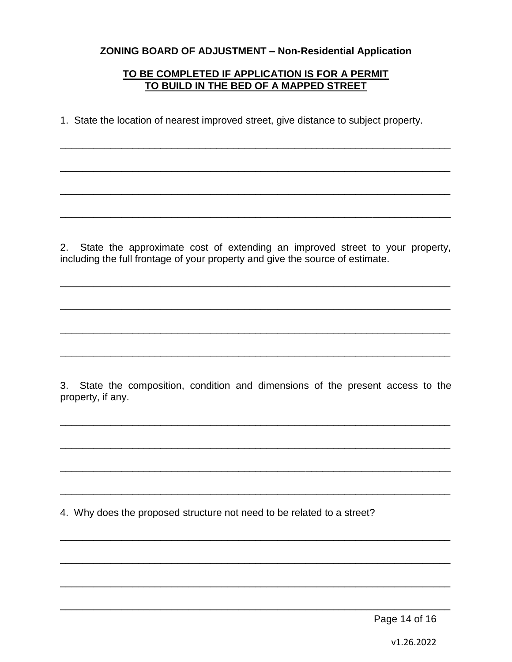#### TO BE COMPLETED IF APPLICATION IS FOR A PERMIT TO BUILD IN THE BED OF A MAPPED STREET

1. State the location of nearest improved street, give distance to subject property.

2. State the approximate cost of extending an improved street to your property, including the full frontage of your property and give the source of estimate.

3. State the composition, condition and dimensions of the present access to the property, if any.

4. Why does the proposed structure not need to be related to a street?

Page 14 of 16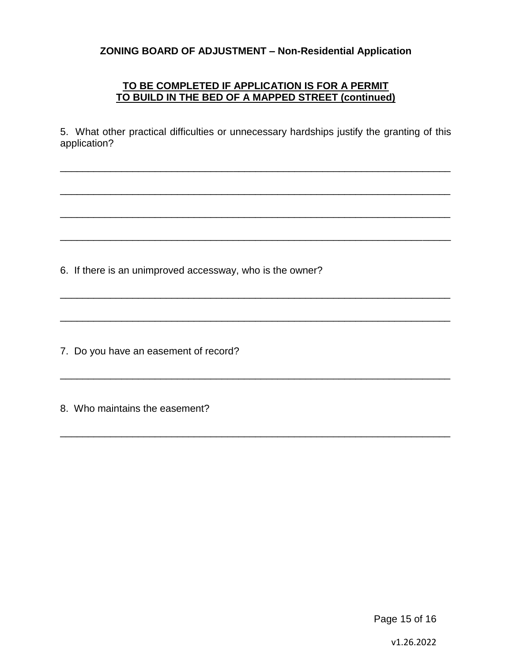#### **TO BE COMPLETED IF APPLICATION IS FOR A PERMIT TO BUILD IN THE BED OF A MAPPED STREET (continued)**

5. What other practical difficulties or unnecessary hardships justify the granting of this application?

\_\_\_\_\_\_\_\_\_\_\_\_\_\_\_\_\_\_\_\_\_\_\_\_\_\_\_\_\_\_\_\_\_\_\_\_\_\_\_\_\_\_\_\_\_\_\_\_\_\_\_\_\_\_\_\_\_\_\_\_\_\_\_\_\_\_\_\_\_\_

\_\_\_\_\_\_\_\_\_\_\_\_\_\_\_\_\_\_\_\_\_\_\_\_\_\_\_\_\_\_\_\_\_\_\_\_\_\_\_\_\_\_\_\_\_\_\_\_\_\_\_\_\_\_\_\_\_\_\_\_\_\_\_\_\_\_\_\_\_\_

\_\_\_\_\_\_\_\_\_\_\_\_\_\_\_\_\_\_\_\_\_\_\_\_\_\_\_\_\_\_\_\_\_\_\_\_\_\_\_\_\_\_\_\_\_\_\_\_\_\_\_\_\_\_\_\_\_\_\_\_\_\_\_\_\_\_\_\_\_\_

\_\_\_\_\_\_\_\_\_\_\_\_\_\_\_\_\_\_\_\_\_\_\_\_\_\_\_\_\_\_\_\_\_\_\_\_\_\_\_\_\_\_\_\_\_\_\_\_\_\_\_\_\_\_\_\_\_\_\_\_\_\_\_\_\_\_\_\_\_\_

\_\_\_\_\_\_\_\_\_\_\_\_\_\_\_\_\_\_\_\_\_\_\_\_\_\_\_\_\_\_\_\_\_\_\_\_\_\_\_\_\_\_\_\_\_\_\_\_\_\_\_\_\_\_\_\_\_\_\_\_\_\_\_\_\_\_\_\_\_\_

\_\_\_\_\_\_\_\_\_\_\_\_\_\_\_\_\_\_\_\_\_\_\_\_\_\_\_\_\_\_\_\_\_\_\_\_\_\_\_\_\_\_\_\_\_\_\_\_\_\_\_\_\_\_\_\_\_\_\_\_\_\_\_\_\_\_\_\_\_\_

\_\_\_\_\_\_\_\_\_\_\_\_\_\_\_\_\_\_\_\_\_\_\_\_\_\_\_\_\_\_\_\_\_\_\_\_\_\_\_\_\_\_\_\_\_\_\_\_\_\_\_\_\_\_\_\_\_\_\_\_\_\_\_\_\_\_\_\_\_\_

\_\_\_\_\_\_\_\_\_\_\_\_\_\_\_\_\_\_\_\_\_\_\_\_\_\_\_\_\_\_\_\_\_\_\_\_\_\_\_\_\_\_\_\_\_\_\_\_\_\_\_\_\_\_\_\_\_\_\_\_\_\_\_\_\_\_\_\_\_\_

6. If there is an unimproved accessway, who is the owner?

7. Do you have an easement of record?

8. Who maintains the easement?

Page 15 of 16